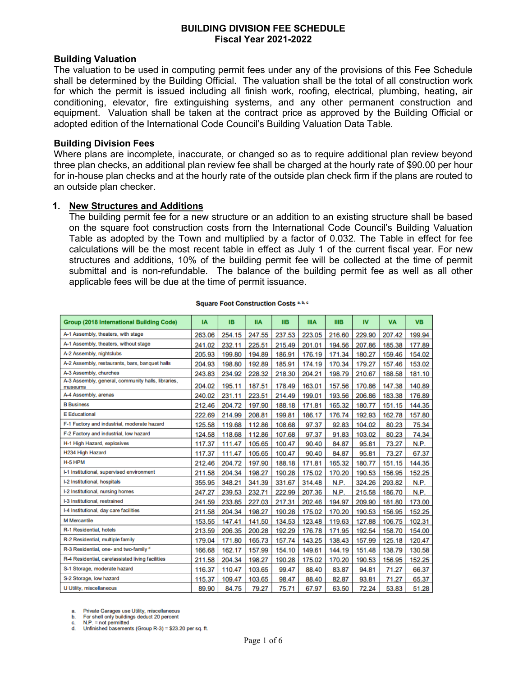#### **BUILDING DIVISION FEE SCHEDULE Fiscal Year 2021-2022**

#### **Building Valuation**

The valuation to be used in computing permit fees under any of the provisions of this Fee Schedule shall be determined by the Building Official. The valuation shall be the total of all construction work for which the permit is issued including all finish work, roofing, electrical, plumbing, heating, air conditioning, elevator, fire extinguishing systems, and any other permanent construction and equipment. Valuation shall be taken at the contract price as approved by the Building Official or adopted edition of the International Code Council's Building Valuation Data Table.

#### **Building Division Fees**

Where plans are incomplete, inaccurate, or changed so as to require additional plan review beyond three plan checks, an additional plan review fee shall be charged at the hourly rate of \$90.00 per hour for in-house plan checks and at the hourly rate of the outside plan check firm if the plans are routed to an outside plan checker.

#### **1. New Structures and Additions**

The building permit fee for a new structure or an addition to an existing structure shall be based on the square foot construction costs from the International Code Council's Building Valuation Table as adopted by the Town and multiplied by a factor of 0.032. The Table in effect for fee calculations will be the most recent table in effect as July 1 of the current fiscal year. For new structures and additions, 10% of the building permit fee will be collected at the time of permit submittal and is non-refundable. The balance of the building permit fee as well as all other applicable fees will be due at the time of permit issuance.

| <b>Group (2018 International Building Code)</b>               | <b>IA</b> | <b>IB</b> | <b>IIA</b> | <b>IIB</b> | <b>IIIA</b> | <b>IIIB</b> | <b>IV</b> | <b>VA</b> | <b>VB</b> |
|---------------------------------------------------------------|-----------|-----------|------------|------------|-------------|-------------|-----------|-----------|-----------|
| A-1 Assembly, theaters, with stage                            | 263.06    | 254.15    | 247.55     | 237.53     | 223.05      | 216.60      | 229.90    | 207.42    | 199.94    |
| A-1 Assembly, theaters, without stage                         | 241.02    | 232.11    | 225.51     | 215.49     | 201.01      | 194.56      | 207.86    | 185.38    | 177.89    |
| A-2 Assembly, nightclubs                                      | 205.93    | 199.80    | 194.89     | 186.91     | 176.19      | 171.34      | 180.27    | 159.46    | 154.02    |
| A-2 Assembly, restaurants, bars, banquet halls                | 204.93    | 198.80    | 192.89     | 185.91     | 174.19      | 170.34      | 179.27    | 157.46    | 153.02    |
| A-3 Assembly, churches                                        | 243.83    | 234.92    | 228.32     | 218.30     | 204.21      | 198.79      | 210.67    | 188.58    | 181.10    |
| A-3 Assembly, general, community halls, libraries,<br>museums | 204.02    | 195.11    | 187.51     | 178.49     | 163.01      | 157.56      | 170.86    | 147.38    | 140.89    |
| A-4 Assembly, arenas                                          | 240.02    | 231.11    | 223.51     | 214.49     | 199.01      | 193.56      | 206.86    | 183.38    | 176.89    |
| <b>B</b> Business                                             | 212.46    | 204.72    | 197.90     | 188.18     | 171.81      | 165.32      | 180.77    | 151.15    | 144.35    |
| <b>E</b> Educational                                          | 222.69    | 214.99    | 208.81     | 199.81     | 186.17      | 176.74      | 192.93    | 162.78    | 157.80    |
| F-1 Factory and industrial, moderate hazard                   | 125.58    | 119.68    | 112.86     | 108.68     | 97.37       | 92.83       | 104.02    | 80.23     | 75.34     |
| F-2 Factory and industrial, low hazard                        | 124.58    | 118.68    | 112.86     | 107.68     | 97.37       | 91.83       | 103.02    | 80.23     | 74.34     |
| H-1 High Hazard, explosives                                   | 117.37    | 111.47    | 105.65     | 100.47     | 90.40       | 84.87       | 95.81     | 73.27     | N.P.      |
| H234 High Hazard                                              | 117.37    | 111.47    | 105.65     | 100.47     | 90.40       | 84.87       | 95.81     | 73.27     | 67.37     |
| H-5 HPM                                                       | 212.46    | 204.72    | 197.90     | 188.18     | 171.81      | 165.32      | 180.77    | 151.15    | 144.35    |
| I-1 Institutional, supervised environment                     | 211.58    | 204.34    | 198.27     | 190.28     | 175.02      | 170.20      | 190.53    | 156.95    | 152.25    |
| I-2 Institutional, hospitals                                  | 355.95    | 348.21    | 341.39     | 331.67     | 314.48      | N.P.        | 324.26    | 293.82    | N.P.      |
| I-2 Institutional, nursing homes                              | 247.27    | 239.53    | 232.71     | 222.99     | 207.36      | N.P.        | 215.58    | 186.70    | N.P.      |
| I-3 Institutional, restrained                                 | 241.59    | 233.85    | 227.03     | 217.31     | 202.46      | 194.97      | 209.90    | 181.80    | 173.00    |
| I-4 Institutional, day care facilities                        | 211.58    | 204.34    | 198.27     | 190.28     | 175.02      | 170.20      | 190.53    | 156.95    | 152.25    |
| <b>M</b> Mercantile                                           | 153.55    | 147.41    | 141.50     | 134.53     | 123.48      | 119.63      | 127.88    | 106.75    | 102.31    |
| R-1 Residential, hotels                                       | 213.59    | 206.35    | 200.28     | 192.29     | 176.78      | 171.95      | 192.54    | 158.70    | 154.00    |
| R-2 Residential, multiple family                              | 179.04    | 171.80    | 165.73     | 157.74     | 143.25      | 138.43      | 157.99    | 125.18    | 120.47    |
| R-3 Residential, one- and two-family d                        | 166.68    | 162.17    | 157.99     | 154.10     | 149.61      | 144.19      | 151.48    | 138.79    | 130.58    |
| R-4 Residential, care/assisted living facilities              | 211.58    | 204.34    | 198.27     | 190.28     | 175.02      | 170.20      | 190.53    | 156.95    | 152.25    |
| S-1 Storage, moderate hazard                                  | 116.37    | 110.47    | 103.65     | 99.47      | 88.40       | 83.87       | 94.81     | 71.27     | 66.37     |
| S-2 Storage, low hazard                                       | 115.37    | 109.47    | 103.65     | 98.47      | 88.40       | 82.87       | 93.81     | 71.27     | 65.37     |
| U Utility, miscellaneous                                      | 89.90     | 84.75     | 79.27      | 75.71      | 67.97       | 63.50       | 72.24     | 53.83     | 51.28     |

#### **Square Foot Construction Costs a, b, c**

Private Garages use Utility, miscellaneous

For shell only buildings deduct 20 percent b.  $N.P. = not permitted$ 

d. Unfinished basements (Group R-3) = \$23.20 per sq. ft.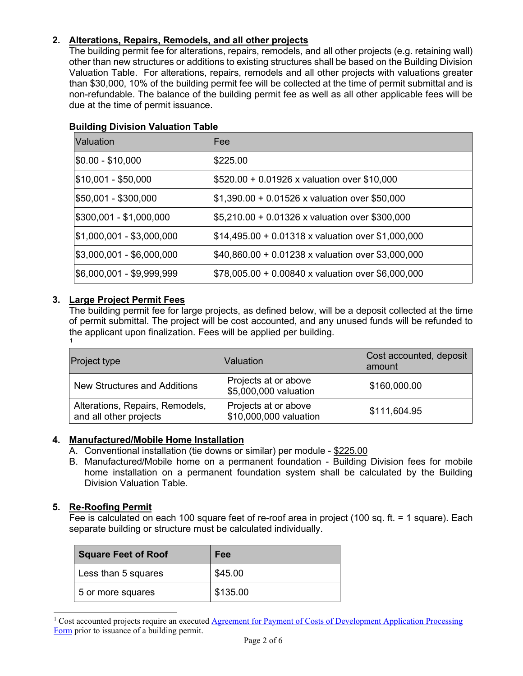# **2. Alterations, Repairs, Remodels, and all other projects**

The building permit fee for alterations, repairs, remodels, and all other projects (e.g. retaining wall) other than new structures or additions to existing structures shall be based on the Building Division Valuation Table. For alterations, repairs, remodels and all other projects with valuations greater than \$30,000, 10% of the building permit fee will be collected at the time of permit submittal and is non-refundable. The balance of the building permit fee as well as all other applicable fees will be due at the time of permit issuance.

| Valuation                 | Fee                                                      |
|---------------------------|----------------------------------------------------------|
| $ $0.00 - $10,000$        | \$225.00                                                 |
| \$10,001 - \$50,000       | \$520.00 + 0.01926 x valuation over \$10,000             |
| \$50,001 - \$300,000      | $$1,390.00 + 0.01526 \times$ valuation over \$50,000     |
| \$300,001 - \$1,000,000   | \$5,210.00 + 0.01326 x valuation over \$300,000          |
| \$1,000,001 - \$3,000,000 | \$14,495.00 + 0.01318 x valuation over \$1,000,000       |
| \$3,000,001 - \$6,000,000 | $$40,860.00 + 0.01238 \times$ valuation over \$3,000,000 |
| \$6,000,001 - \$9,999,999 | $$78,005.00 + 0.00840 \times$ valuation over \$6,000,000 |

# **Building Division Valuation Table**

# **3. Large Project Permit Fees**

The building permit fee for large projects, as defined below, will be a deposit collected at the time of permit submittal. The project will be cost accounted, and any unused funds will be refunded to the applicant upon finalization. Fees will be applied per building. [1](#page-1-0)

| <b>Project type</b>                                       | Valuation                                      | Cost accounted, deposit<br>lamount |
|-----------------------------------------------------------|------------------------------------------------|------------------------------------|
| <b>New Structures and Additions</b>                       | Projects at or above<br>\$5,000,000 valuation  | \$160,000.00                       |
| Alterations, Repairs, Remodels,<br>and all other projects | Projects at or above<br>\$10,000,000 valuation | \$111,604.95                       |

# **4. Manufactured/Mobile Home Installation**

- A. Conventional installation (tie downs or similar) per module \$225.00
- B. Manufactured/Mobile home on a permanent foundation Building Division fees for mobile home installation on a permanent foundation system shall be calculated by the Building Division Valuation Table.

# **5. Re-Roofing Permit**

Fee is calculated on each 100 square feet of re-roof area in project (100 sq. ft. = 1 square). Each separate building or structure must be calculated individually.

| <b>Square Feet of Roof</b> | Fee      |
|----------------------------|----------|
| Less than 5 squares        | \$45.00  |
| 5 or more squares          | \$135.00 |

<span id="page-1-0"></span><sup>&</sup>lt;sup>1</sup> Cost accounted projects require an executed Agreement for Payment of Costs of Development Application Processing [Form](https://www.townofmammothlakes.ca.gov/DocumentCenter/View/11453/Planning-Application-Attachment---Processing-Agreement-Form) prior to issuance of a building permit.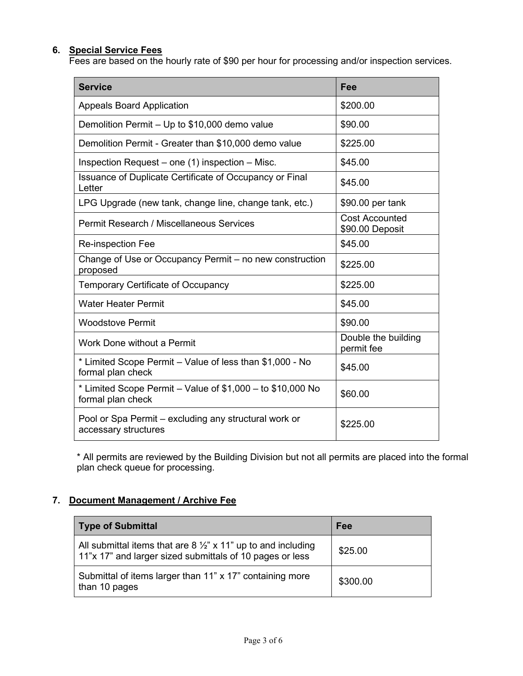# **6. Special Service Fees**

Fees are based on the hourly rate of \$90 per hour for processing and/or inspection services.

| <b>Service</b>                                                                    | Fee                                      |
|-----------------------------------------------------------------------------------|------------------------------------------|
| <b>Appeals Board Application</b>                                                  | \$200.00                                 |
| Demolition Permit - Up to \$10,000 demo value                                     | \$90.00                                  |
| Demolition Permit - Greater than \$10,000 demo value                              | \$225.00                                 |
| Inspection Request – one (1) inspection – Misc.                                   | \$45.00                                  |
| Issuance of Duplicate Certificate of Occupancy or Final<br>Letter                 | \$45.00                                  |
| LPG Upgrade (new tank, change line, change tank, etc.)                            | \$90.00 per tank                         |
| Permit Research / Miscellaneous Services                                          | <b>Cost Accounted</b><br>\$90.00 Deposit |
| <b>Re-inspection Fee</b>                                                          | \$45.00                                  |
| Change of Use or Occupancy Permit - no new construction<br>proposed               | \$225.00                                 |
| <b>Temporary Certificate of Occupancy</b>                                         | \$225.00                                 |
| <b>Water Heater Permit</b>                                                        | \$45.00                                  |
| <b>Woodstove Permit</b>                                                           | \$90.00                                  |
| Work Done without a Permit                                                        | Double the building<br>permit fee        |
| * Limited Scope Permit – Value of less than \$1,000 - No<br>formal plan check     | \$45.00                                  |
| * Limited Scope Permit – Value of $$1,000 -$ to $$10,000$ No<br>formal plan check | \$60.00                                  |
| Pool or Spa Permit – excluding any structural work or<br>accessary structures     | \$225.00                                 |

\* All permits are reviewed by the Building Division but not all permits are placed into the formal plan check queue for processing.

# **7. Document Management / Archive Fee**

| <b>Type of Submittal</b>                                                                                                             | Fee      |
|--------------------------------------------------------------------------------------------------------------------------------------|----------|
| All submittal items that are 8 $\frac{1}{2}$ " x 11" up to and including<br>11"x 17" and larger sized submittals of 10 pages or less | \$25.00  |
| Submittal of items larger than 11" x 17" containing more<br>than 10 pages                                                            | \$300.00 |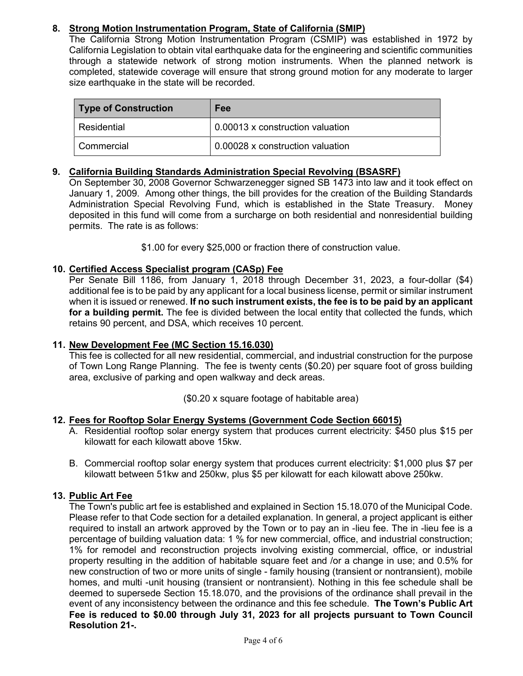# **8. Strong Motion Instrumentation Program, State of California (SMIP)**

The California Strong Motion Instrumentation Program (CSMIP) was established in 1972 by California Legislation to obtain vital earthquake data for the engineering and scientific communities through a statewide network of strong motion instruments. When the planned network is completed, statewide coverage will ensure that strong ground motion for any moderate to larger size earthquake in the state will be recorded.

| Type of Construction | Fee                              |
|----------------------|----------------------------------|
| l Residential.       | 0.00013 x construction valuation |
| l Commercial         | 0.00028 x construction valuation |

# **9. California Building Standards Administration Special Revolving (BSASRF)**

On September 30, 2008 Governor Schwarzenegger signed SB 1473 into law and it took effect on January 1, 2009. Among other things, the bill provides for the creation of the Building Standards Administration Special Revolving Fund, which is established in the State Treasury. Money deposited in this fund will come from a surcharge on both residential and nonresidential building permits. The rate is as follows:

\$1.00 for every \$25,000 or fraction there of construction value.

# **10. Certified Access Specialist program (CASp) Fee**

Per Senate Bill 1186, from January 1, 2018 through December 31, 2023, a four-dollar (\$4) additional fee is to be paid by any applicant for a local business license, permit or similar instrument when it is issued or renewed. **If no such instrument exists, the fee is to be paid by an applicant for a building permit.** The fee is divided between the local entity that collected the funds, which retains 90 percent, and DSA, which receives 10 percent.

# **11. New Development Fee (MC Section 15.16.030)**

This fee is collected for all new residential, commercial, and industrial construction for the purpose of Town Long Range Planning. The fee is twenty cents (\$0.20) per square foot of gross building area, exclusive of parking and open walkway and deck areas.

(\$0.20 x square footage of habitable area)

# **12. Fees for Rooftop Solar Energy Systems (Government Code Section 66015)**

- A. Residential rooftop solar energy system that produces current electricity: \$450 plus \$15 per kilowatt for each kilowatt above 15kw.
- B. Commercial rooftop solar energy system that produces current electricity: \$1,000 plus \$7 per kilowatt between 51kw and 250kw, plus \$5 per kilowatt for each kilowatt above 250kw.

# **13. Public Art Fee**

The Town's public art fee is established and explained in Section 15.18.070 of the Municipal Code. Please refer to that Code section for a detailed explanation. In general, a project applicant is either required to install an artwork approved by the Town or to pay an in -lieu fee. The in -lieu fee is a percentage of building valuation data: 1 % for new commercial, office, and industrial construction; 1% for remodel and reconstruction projects involving existing commercial, office, or industrial property resulting in the addition of habitable square feet and /or a change in use; and 0.5% for new construction of two or more units of single - family housing (transient or nontransient), mobile homes, and multi -unit housing (transient or nontransient). Nothing in this fee schedule shall be deemed to supersede Section 15.18.070, and the provisions of the ordinance shall prevail in the event of any inconsistency between the ordinance and this fee schedule. **The Town's Public Art Fee is reduced to \$0.00 through July 31, 2023 for all projects pursuant to Town Council Resolution 21-.**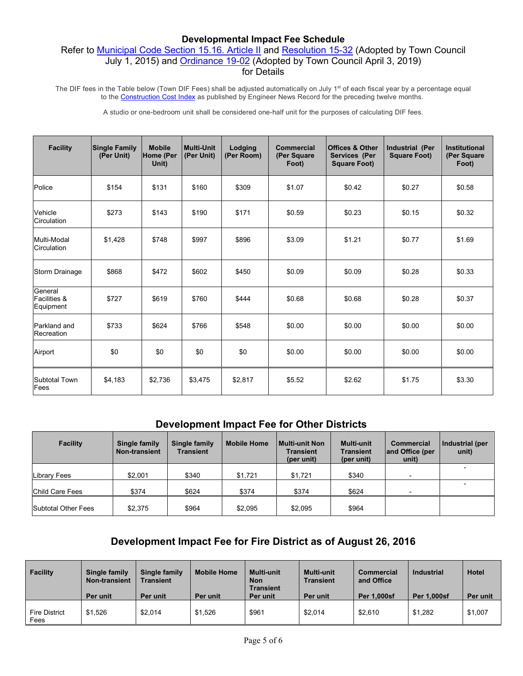#### **Developmental Impact Fee Schedule**

# Refer to [Municipal Code Section 15.16.](https://library.municode.com/ca/mammoth_lakes_/codes/code_of_ordinances?nodeId=TIT15BUCO_CH15.16SPFE_ARTIIDEIMMIFE) Article II and [Resolution 15-32](https://www.townofmammothlakes.ca.gov/DocumentCenter/View/9435/R15-32) (Adopted by Town Council July 1, 2015) and [Ordinance 19-02](https://www.townofmammothlakes.ca.gov/DocumentCenter/View/10927/OR19-01) (Adopted by Town Council April 3, 2019) for Details

The DIF fees in the Table below (Town DIF Fees) shall be adjusted automatically on July 1<sup>st</sup> of each fiscal year by a percentage equal to the [Construction Cost Index](https://www.dgs.ca.gov/RESD/Resources/Page-Content/Real-Estate-Services-Division-Resources-List-Folder/DGS-California-Construction-Cost-Index-CCCI) as published by Engineer News Record for the preceding twelve months.

A studio or one-bedroom unit shall be considered one-half unit for the purposes of calculating DIF fees.

| <b>Facility</b>                                 | <b>Single Family</b><br>(Per Unit) | <b>Mobile</b><br>Home (Per<br>Unit) | <b>Multi-Unit</b><br>(Per Unit) | Lodging<br>(Per Room) | <b>Commercial</b><br>(Per Square<br>Foot) | <b>Offices &amp; Other</b><br>Services (Per<br><b>Square Foot)</b> | <b>Industrial (Per</b><br><b>Square Foot)</b> | <b>Institutional</b><br>(Per Square<br>Foot) |
|-------------------------------------------------|------------------------------------|-------------------------------------|---------------------------------|-----------------------|-------------------------------------------|--------------------------------------------------------------------|-----------------------------------------------|----------------------------------------------|
| Police                                          | \$154                              | \$131                               | \$160                           | \$309                 | \$1.07                                    | \$0.42                                                             | \$0.27                                        | \$0.58                                       |
| Vehicle<br>Circulation                          | \$273                              | \$143                               | \$190                           | \$171                 | \$0.59                                    | \$0.23                                                             | \$0.15                                        | \$0.32                                       |
| Multi-Modal<br>Circulation                      | \$1,428                            | \$748                               | \$997                           | \$896                 | \$3.09                                    | \$1.21                                                             | \$0.77                                        | \$1.69                                       |
| Storm Drainage                                  | \$868                              | \$472                               | \$602                           | \$450                 | \$0.09                                    | \$0.09                                                             | \$0.28                                        | \$0.33                                       |
| General<br><b>Facilities &amp;</b><br>Equipment | \$727                              | \$619                               | \$760                           | \$444                 | \$0.68                                    | \$0.68                                                             | \$0.28                                        | \$0.37                                       |
| Parkland and<br>Recreation                      | \$733                              | \$624                               | \$766                           | \$548                 | \$0.00                                    | \$0.00                                                             | \$0.00                                        | \$0.00                                       |
| Airport                                         | \$0                                | \$0                                 | \$0                             | \$0                   | \$0.00                                    | \$0.00                                                             | \$0.00                                        | \$0.00                                       |
| <b>Subtotal Town</b><br>Fees                    | \$4,183                            | \$2,736                             | \$3,475                         | \$2,817               | \$5.52                                    | \$2.62                                                             | \$1.75                                        | \$3.30                                       |

# **Development Impact Fee for Other Districts**

| <b>Facility</b>            | Single family<br><b>Non-transient</b> | Single family<br><b>Transient</b> | <b>Mobile Home</b> | l Multi-unit Non<br><b>Transient</b><br>(per unit) | <b>Multi-unit</b><br><b>Transient</b><br>(per unit) | <b>Commercial</b><br>and Office (per<br>unit) | Industrial (per<br>unit) |
|----------------------------|---------------------------------------|-----------------------------------|--------------------|----------------------------------------------------|-----------------------------------------------------|-----------------------------------------------|--------------------------|
|                            |                                       |                                   |                    |                                                    |                                                     |                                               |                          |
| Library Fees               | \$2.001                               | \$340                             | \$1.721            | \$1.721                                            | \$340                                               |                                               |                          |
| <b>Child Care Fees</b>     | \$374                                 | \$624                             | \$374              | \$374                                              | \$624                                               |                                               |                          |
| <b>Subtotal Other Fees</b> | \$2.375                               | \$964                             | \$2.095            | \$2.095                                            | \$964                                               |                                               |                          |

# **Development Impact Fee for Fire District as of August 26, 2016**

| <b>Facility</b>              | Single family<br><b>Non-transient</b><br>Per unit | Single family<br><b>Transient</b><br>Per unit | <b>Mobile Home</b><br>Per unit | <b>Multi-unit</b><br><b>Non</b><br><b>Transient</b><br>Per unit | <b>Multi-unit</b><br><b>Transient</b><br>Per unit | Commercial<br>and Office<br><b>Per 1,000sf</b> | Industrial<br><b>Per 1,000sf</b> | Hotel<br>Per unit |
|------------------------------|---------------------------------------------------|-----------------------------------------------|--------------------------------|-----------------------------------------------------------------|---------------------------------------------------|------------------------------------------------|----------------------------------|-------------------|
| <b>Fire District</b><br>Fees | \$1.526                                           | \$2.014                                       | \$1,526                        | \$961                                                           | \$2,014                                           | \$2,610                                        | \$1.282                          | \$1,007           |